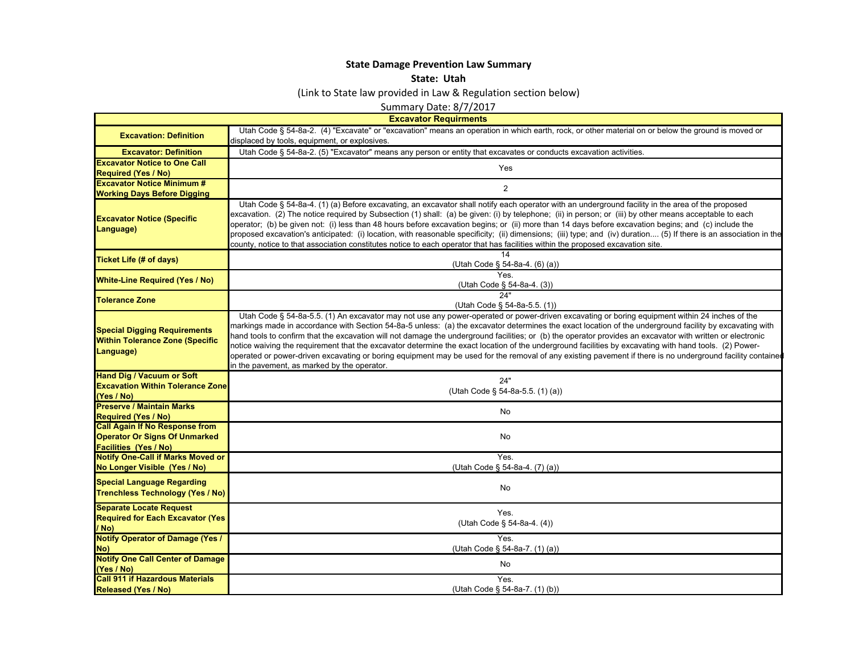## **State Damage Prevention Law Summar y**

## **State: Utah**

(Link to State law provided in Law & Regulation section below)

Summary Date: 8/7/2017

| <b>Excavator Requirmer</b> |
|----------------------------|
|                            |

- F

|                                                                                                               | <b>Excavator Requirments</b>                                                                                                                                                                                                                                                                                                                                                                                                                                                                                                                                                                                                                                                                                                                                                                                                                  |
|---------------------------------------------------------------------------------------------------------------|-----------------------------------------------------------------------------------------------------------------------------------------------------------------------------------------------------------------------------------------------------------------------------------------------------------------------------------------------------------------------------------------------------------------------------------------------------------------------------------------------------------------------------------------------------------------------------------------------------------------------------------------------------------------------------------------------------------------------------------------------------------------------------------------------------------------------------------------------|
| <b>Excavation: Definition</b>                                                                                 | Utah Code § 54-8a-2. (4) "Excavate" or "excavation" means an operation in which earth, rock, or other material on or below the ground is moved or                                                                                                                                                                                                                                                                                                                                                                                                                                                                                                                                                                                                                                                                                             |
|                                                                                                               | displaced by tools, equipment, or explosives.                                                                                                                                                                                                                                                                                                                                                                                                                                                                                                                                                                                                                                                                                                                                                                                                 |
| <b>Excavator: Definition</b>                                                                                  | Utah Code § 54-8a-2. (5) "Excavator" means any person or entity that excavates or conducts excavation activities.                                                                                                                                                                                                                                                                                                                                                                                                                                                                                                                                                                                                                                                                                                                             |
| <b>Excavator Notice to One Call</b><br><b>Required (Yes / No)</b>                                             | <b>Yes</b>                                                                                                                                                                                                                                                                                                                                                                                                                                                                                                                                                                                                                                                                                                                                                                                                                                    |
| <b>Excavator Notice Minimum #</b><br><b>Working Days Before Digging</b>                                       | $\overline{2}$                                                                                                                                                                                                                                                                                                                                                                                                                                                                                                                                                                                                                                                                                                                                                                                                                                |
| <b>Excavator Notice (Specific</b><br>Language)                                                                | Utah Code § 54-8a-4. (1) (a) Before excavating, an excavator shall notify each operator with an underground facility in the area of the proposed<br>excavation. (2) The notice required by Subsection (1) shall: (a) be given: (i) by telephone; (ii) in person; or (iii) by other means acceptable to each<br>operator; (b) be given not: (i) less than 48 hours before excavation begins; or (ii) more than 14 days before excavation begins; and (c) include the<br>proposed excavation's anticipated: (i) location, with reasonable specificity; (ii) dimensions; (iii) type; and (iv) duration (5) If there is an association in the<br>county, notice to that association constitutes notice to each operator that has facilities within the proposed excavation site.                                                                  |
| <b>Ticket Life (# of days)</b>                                                                                | 14<br>(Utah Code § 54-8a-4. (6) (a))                                                                                                                                                                                                                                                                                                                                                                                                                                                                                                                                                                                                                                                                                                                                                                                                          |
| <b>White-Line Required (Yes / No)</b>                                                                         | <b>Yes</b><br>(Utah Code § 54-8a-4. (3))                                                                                                                                                                                                                                                                                                                                                                                                                                                                                                                                                                                                                                                                                                                                                                                                      |
| <b>Tolerance Zone</b>                                                                                         | 24"<br>(Utah Code § 54-8a-5.5. (1))                                                                                                                                                                                                                                                                                                                                                                                                                                                                                                                                                                                                                                                                                                                                                                                                           |
| <b>Special Digging Requirements</b><br><b>Within Tolerance Zone (Specific</b><br>Language)                    | Utah Code § 54-8a-5.5. (1) An excavator may not use any power-operated or power-driven excavating or boring equipment within 24 inches of the<br>markings made in accordance with Section 54-8a-5 unless: (a) the excavator determines the exact location of the underground facility by excavating with<br>hand tools to confirm that the excavation will not damage the underground facilities; or (b) the operator provides an excavator with written or electronic<br>notice waiving the requirement that the excavator determine the exact location of the underground facilities by excavating with hand tools. (2) Power-<br>operated or power-driven excavating or boring equipment may be used for the removal of any existing pavement if there is no underground facility contained<br>in the pavement, as marked by the operator. |
| <b>Hand Dig / Vacuum or Soft</b>                                                                              |                                                                                                                                                                                                                                                                                                                                                                                                                                                                                                                                                                                                                                                                                                                                                                                                                                               |
| <b>Excavation Within Tolerance Zone</b><br>(Yes / No)                                                         | 24"<br>(Utah Code § 54-8a-5.5. (1) (a))                                                                                                                                                                                                                                                                                                                                                                                                                                                                                                                                                                                                                                                                                                                                                                                                       |
| <b>Preserve / Maintain Marks</b><br><b>Required (Yes / No)</b>                                                | No                                                                                                                                                                                                                                                                                                                                                                                                                                                                                                                                                                                                                                                                                                                                                                                                                                            |
| <b>Call Again If No Response from</b><br><b>Operator Or Signs Of Unmarked</b><br><b>Facilities (Yes / No)</b> | No                                                                                                                                                                                                                                                                                                                                                                                                                                                                                                                                                                                                                                                                                                                                                                                                                                            |
| <b>Notify One-Call if Marks Moved or</b><br>No Longer Visible (Yes / No)                                      | Yes.<br>(Utah Code § 54-8a-4. (7) (a))                                                                                                                                                                                                                                                                                                                                                                                                                                                                                                                                                                                                                                                                                                                                                                                                        |
| <b>Special Language Regarding</b><br><b>Trenchless Technology (Yes / No)</b>                                  | No                                                                                                                                                                                                                                                                                                                                                                                                                                                                                                                                                                                                                                                                                                                                                                                                                                            |
| <b>Separate Locate Request</b><br><b>Required for Each Excavator (Yes</b><br>/ No)                            | Yes.<br>(Utah Code § 54-8a-4. (4))                                                                                                                                                                                                                                                                                                                                                                                                                                                                                                                                                                                                                                                                                                                                                                                                            |
| <b>Notify Operator of Damage (Yes /</b><br>No)                                                                | Yes.<br>(Utah Code § 54-8a-7. (1) (a))                                                                                                                                                                                                                                                                                                                                                                                                                                                                                                                                                                                                                                                                                                                                                                                                        |
| <b>Notify One Call Center of Damage</b><br>(Yes / No)                                                         | No                                                                                                                                                                                                                                                                                                                                                                                                                                                                                                                                                                                                                                                                                                                                                                                                                                            |
| <b>Call 911 if Hazardous Materials</b><br><b>Released (Yes / No)</b>                                          | Yes.<br>(Utah Code § 54-8a-7. (1) (b))                                                                                                                                                                                                                                                                                                                                                                                                                                                                                                                                                                                                                                                                                                                                                                                                        |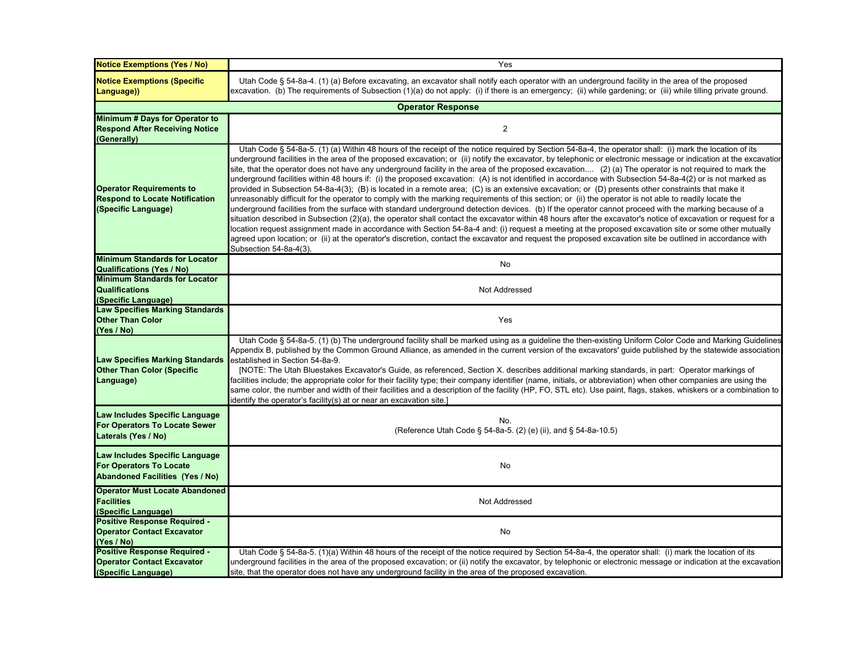| <b>Notice Exemptions (Yes / No)</b>                                                                        | Yes                                                                                                                                                                                                                                                                                                                                                                                                                                                                                                                                                                                                                                                                                                                                                                                                                                                                                                                                                                                                                                                                                                                                                                                                                                                                                                                                                                                                                                                                                                                                                                                                                                             |
|------------------------------------------------------------------------------------------------------------|-------------------------------------------------------------------------------------------------------------------------------------------------------------------------------------------------------------------------------------------------------------------------------------------------------------------------------------------------------------------------------------------------------------------------------------------------------------------------------------------------------------------------------------------------------------------------------------------------------------------------------------------------------------------------------------------------------------------------------------------------------------------------------------------------------------------------------------------------------------------------------------------------------------------------------------------------------------------------------------------------------------------------------------------------------------------------------------------------------------------------------------------------------------------------------------------------------------------------------------------------------------------------------------------------------------------------------------------------------------------------------------------------------------------------------------------------------------------------------------------------------------------------------------------------------------------------------------------------------------------------------------------------|
| <b>Notice Exemptions (Specific</b><br>Language))                                                           | Utah Code § 54-8a-4. (1) (a) Before excavating, an excavator shall notify each operator with an underground facility in the area of the proposed<br>excavation. (b) The requirements of Subsection (1)(a) do not apply: (i) if there is an emergency; (ii) while gardening; or (iii) while tilling private ground.                                                                                                                                                                                                                                                                                                                                                                                                                                                                                                                                                                                                                                                                                                                                                                                                                                                                                                                                                                                                                                                                                                                                                                                                                                                                                                                              |
|                                                                                                            | <b>Operator Response</b>                                                                                                                                                                                                                                                                                                                                                                                                                                                                                                                                                                                                                                                                                                                                                                                                                                                                                                                                                                                                                                                                                                                                                                                                                                                                                                                                                                                                                                                                                                                                                                                                                        |
| Minimum # Days for Operator to<br><b>Respond After Receiving Notice</b><br>(Generally)                     | $\sqrt{2}$                                                                                                                                                                                                                                                                                                                                                                                                                                                                                                                                                                                                                                                                                                                                                                                                                                                                                                                                                                                                                                                                                                                                                                                                                                                                                                                                                                                                                                                                                                                                                                                                                                      |
| <b>Operator Requirements to</b><br><b>Respond to Locate Notification</b><br>(Specific Language)            | Utah Code § 54-8a-5. (1) (a) Within 48 hours of the receipt of the notice required by Section 54-8a-4, the operator shall: (i) mark the location of its<br>underground facilities in the area of the proposed excavation; or (ii) notify the excavator, by telephonic or electronic message or indication at the excavatior<br>site, that the operator does not have any underground facility in the area of the proposed excavation (2) (a) The operator is not required to mark the<br>underground facilities within 48 hours if: (i) the proposed excavation: (A) is not identified in accordance with Subsection 54-8a-4(2) or is not marked as<br>provided in Subsection 54-8a-4(3); (B) is located in a remote area; (C) is an extensive excavation; or (D) presents other constraints that make it<br>unreasonably difficult for the operator to comply with the marking requirements of this section; or (ii) the operator is not able to readily locate the<br>underground facilities from the surface with standard underground detection devices. (b) If the operator cannot proceed with the marking because of a<br>situation described in Subsection (2)(a), the operator shall contact the excavator within 48 hours after the excavator's notice of excavation or request for a<br>location request assignment made in accordance with Section 54-8a-4 and: (i) request a meeting at the proposed excavation site or some other mutually<br>agreed upon location; or (ii) at the operator's discretion, contact the excavator and request the proposed excavation site be outlined in accordance with<br>Subsection 54-8a-4(3). |
| <b>Minimum Standards for Locator</b><br><b>Qualifications (Yes / No)</b>                                   | No                                                                                                                                                                                                                                                                                                                                                                                                                                                                                                                                                                                                                                                                                                                                                                                                                                                                                                                                                                                                                                                                                                                                                                                                                                                                                                                                                                                                                                                                                                                                                                                                                                              |
| <b>Minimum Standards for Locator</b><br><b>Qualifications</b><br>(Specific Language)                       | Not Addressed                                                                                                                                                                                                                                                                                                                                                                                                                                                                                                                                                                                                                                                                                                                                                                                                                                                                                                                                                                                                                                                                                                                                                                                                                                                                                                                                                                                                                                                                                                                                                                                                                                   |
| <b>Law Specifies Marking Standards</b><br><b>Other Than Color</b><br>(Yes / No)                            | Yes                                                                                                                                                                                                                                                                                                                                                                                                                                                                                                                                                                                                                                                                                                                                                                                                                                                                                                                                                                                                                                                                                                                                                                                                                                                                                                                                                                                                                                                                                                                                                                                                                                             |
| <b>Law Specifies Marking Standards</b><br><b>Other Than Color (Specific</b><br>Language)                   | Utah Code § 54-8a-5. (1) (b) The underground facility shall be marked using as a guideline the then-existing Uniform Color Code and Marking Guidelines<br>Appendix B, published by the Common Ground Alliance, as amended in the current version of the excavators' guide published by the statewide association<br>established in Section 54-8a-9.<br>[NOTE: The Utah Bluestakes Excavator's Guide, as referenced, Section X. describes additional marking standards, in part: Operator markings of<br>facilities include; the appropriate color for their facility type; their company identifier (name, initials, or abbreviation) when other companies are using the<br>same color, the number and width of their facilities and a description of the facility (HP, FO, STL etc). Use paint, flags, stakes, whiskers or a combination to<br>identify the operator's facility(s) at or near an excavation site.]                                                                                                                                                                                                                                                                                                                                                                                                                                                                                                                                                                                                                                                                                                                             |
| Law Includes Specific Language<br>For Operators To Locate Sewer<br>Laterals (Yes / No)                     | No.<br>(Reference Utah Code § 54-8a-5. (2) (e) (ii), and § 54-8a-10.5)                                                                                                                                                                                                                                                                                                                                                                                                                                                                                                                                                                                                                                                                                                                                                                                                                                                                                                                                                                                                                                                                                                                                                                                                                                                                                                                                                                                                                                                                                                                                                                          |
| Law Includes Specific Language<br><b>For Operators To Locate</b><br><b>Abandoned Facilities (Yes / No)</b> | No                                                                                                                                                                                                                                                                                                                                                                                                                                                                                                                                                                                                                                                                                                                                                                                                                                                                                                                                                                                                                                                                                                                                                                                                                                                                                                                                                                                                                                                                                                                                                                                                                                              |
| <b>Operator Must Locate Abandoned</b><br><b>Facilities</b><br>(Specific Language)                          | Not Addressed                                                                                                                                                                                                                                                                                                                                                                                                                                                                                                                                                                                                                                                                                                                                                                                                                                                                                                                                                                                                                                                                                                                                                                                                                                                                                                                                                                                                                                                                                                                                                                                                                                   |
| <b>Positive Response Required -</b><br><b>Operator Contact Excavator</b><br>(Yes / No)                     | No                                                                                                                                                                                                                                                                                                                                                                                                                                                                                                                                                                                                                                                                                                                                                                                                                                                                                                                                                                                                                                                                                                                                                                                                                                                                                                                                                                                                                                                                                                                                                                                                                                              |
| <b>Positive Response Required -</b><br><b>Operator Contact Excavator</b><br>(Specific Language)            | Utah Code § 54-8a-5. (1)(a) Within 48 hours of the receipt of the notice required by Section 54-8a-4, the operator shall: (i) mark the location of its<br>underground facilities in the area of the proposed excavation; or (ii) notify the excavator, by telephonic or electronic message or indication at the excavation<br>site, that the operator does not have any underground facility in the area of the proposed excavation.                                                                                                                                                                                                                                                                                                                                                                                                                                                                                                                                                                                                                                                                                                                                                                                                                                                                                                                                                                                                                                                                                                                                                                                                            |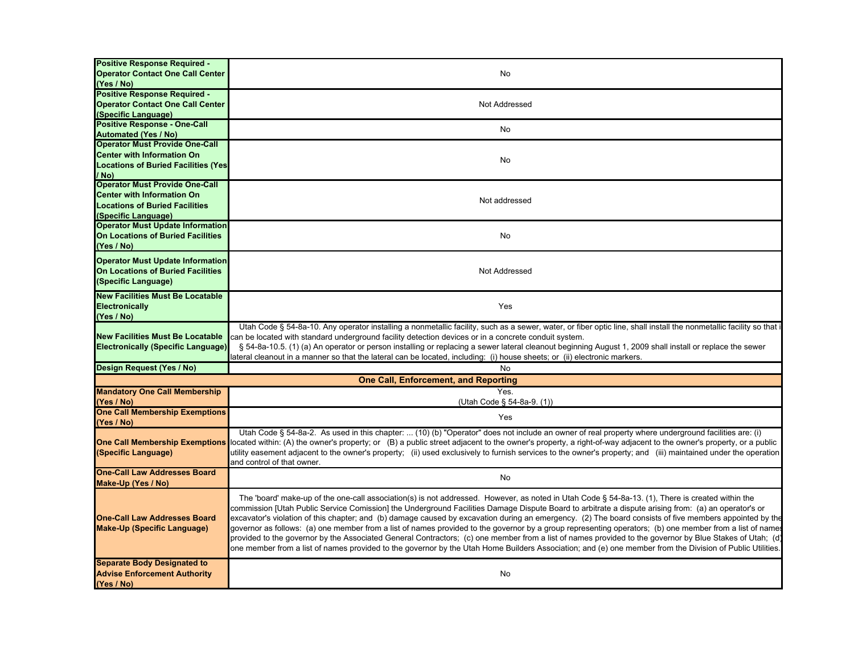| Positive Response Required -<br><b>Operator Contact One Call Center</b><br>(Yes / No)                                                      | No                                                                                                                                                                                                                                                                                                                                                                                                                                                                                                                                                                                                                                                                                                                                                                                                                                                                                                                                                      |
|--------------------------------------------------------------------------------------------------------------------------------------------|---------------------------------------------------------------------------------------------------------------------------------------------------------------------------------------------------------------------------------------------------------------------------------------------------------------------------------------------------------------------------------------------------------------------------------------------------------------------------------------------------------------------------------------------------------------------------------------------------------------------------------------------------------------------------------------------------------------------------------------------------------------------------------------------------------------------------------------------------------------------------------------------------------------------------------------------------------|
| Positive Response Required -<br><b>Operator Contact One Call Center</b><br>(Specific Language)                                             | Not Addressed                                                                                                                                                                                                                                                                                                                                                                                                                                                                                                                                                                                                                                                                                                                                                                                                                                                                                                                                           |
| <b>Positive Response - One-Call</b><br><b>Automated (Yes / No)</b>                                                                         | No                                                                                                                                                                                                                                                                                                                                                                                                                                                                                                                                                                                                                                                                                                                                                                                                                                                                                                                                                      |
| <b>Operator Must Provide One-Call</b><br><b>Center with Information On</b><br><b>Locations of Buried Facilities (Yes</b><br>/ No)          | No                                                                                                                                                                                                                                                                                                                                                                                                                                                                                                                                                                                                                                                                                                                                                                                                                                                                                                                                                      |
| <b>Operator Must Provide One-Call</b><br><b>Center with Information On</b><br><b>Locations of Buried Facilities</b><br>(Specific Language) | Not addressed                                                                                                                                                                                                                                                                                                                                                                                                                                                                                                                                                                                                                                                                                                                                                                                                                                                                                                                                           |
| <b>Operator Must Update Information</b><br><b>On Locations of Buried Facilities</b><br>(Yes / No)                                          | No                                                                                                                                                                                                                                                                                                                                                                                                                                                                                                                                                                                                                                                                                                                                                                                                                                                                                                                                                      |
| <b>Operator Must Update Information</b><br><b>On Locations of Buried Facilities</b><br>(Specific Language)                                 | Not Addressed                                                                                                                                                                                                                                                                                                                                                                                                                                                                                                                                                                                                                                                                                                                                                                                                                                                                                                                                           |
| <b>New Facilities Must Be Locatable</b><br><b>Electronically</b><br>(Yes / No)                                                             | Yes                                                                                                                                                                                                                                                                                                                                                                                                                                                                                                                                                                                                                                                                                                                                                                                                                                                                                                                                                     |
| <b>New Facilities Must Be Locatable</b><br><b>Electronically (Specific Language)</b>                                                       | Utah Code § 54-8a-10. Any operator installing a nonmetallic facility, such as a sewer, water, or fiber optic line, shall install the nonmetallic facility so that i<br>can be located with standard underground facility detection devices or in a concrete conduit system.<br>§ 54-8a-10.5. (1) (a) An operator or person installing or replacing a sewer lateral cleanout beginning August 1, 2009 shall install or replace the sewer<br>lateral cleanout in a manner so that the lateral can be located, including: (i) house sheets; or (ii) electronic markers.                                                                                                                                                                                                                                                                                                                                                                                    |
| Design Request (Yes / No)                                                                                                                  | No                                                                                                                                                                                                                                                                                                                                                                                                                                                                                                                                                                                                                                                                                                                                                                                                                                                                                                                                                      |
|                                                                                                                                            | <b>One Call, Enforcement, and Reporting</b>                                                                                                                                                                                                                                                                                                                                                                                                                                                                                                                                                                                                                                                                                                                                                                                                                                                                                                             |
| <b>Mandatory One Call Membership</b><br>(Yes / No)                                                                                         | Yes.<br>(Utah Code § 54-8a-9. (1))                                                                                                                                                                                                                                                                                                                                                                                                                                                                                                                                                                                                                                                                                                                                                                                                                                                                                                                      |
| <b>One Call Membership Exemptions</b><br>(Yes / No)                                                                                        | Yes                                                                                                                                                                                                                                                                                                                                                                                                                                                                                                                                                                                                                                                                                                                                                                                                                                                                                                                                                     |
| <b>One Call Membership Exemptions</b><br>(Specific Language)                                                                               | Utah Code § 54-8a-2. As used in this chapter:  (10) (b) "Operator" does not include an owner of real property where underground facilities are: (i)<br>located within: (A) the owner's property; or (B) a public street adjacent to the owner's property, a right-of-way adjacent to the owner's property, or a public<br>utility easement adjacent to the owner's property; (ii) used exclusively to furnish services to the owner's property; and (iii) maintained under the operation<br>and control of that owner.                                                                                                                                                                                                                                                                                                                                                                                                                                  |
| <b>One-Call Law Addresses Board</b><br>Make-Up (Yes / No)                                                                                  | No                                                                                                                                                                                                                                                                                                                                                                                                                                                                                                                                                                                                                                                                                                                                                                                                                                                                                                                                                      |
| <b>One-Call Law Addresses Board</b><br><b>Make-Up (Specific Language)</b>                                                                  | The 'board' make-up of the one-call association(s) is not addressed. However, as noted in Utah Code § 54-8a-13. (1), There is created within the<br>commission [Utah Public Service Comission] the Underground Facilities Damage Dispute Board to arbitrate a dispute arising from: (a) an operator's or<br>excavator's violation of this chapter; and (b) damage caused by excavation during an emergency. (2) The board consists of five members appointed by the<br>governor as follows: (a) one member from a list of names provided to the governor by a group representing operators; (b) one member from a list of name<br>provided to the governor by the Associated General Contractors; (c) one member from a list of names provided to the governor by Blue Stakes of Utah; (d)<br>one member from a list of names provided to the governor by the Utah Home Builders Association; and (e) one member from the Division of Public Utilities. |
| <b>Separate Body Designated to</b><br><b>Advise Enforcement Authority</b><br>(Yes / No)                                                    | No                                                                                                                                                                                                                                                                                                                                                                                                                                                                                                                                                                                                                                                                                                                                                                                                                                                                                                                                                      |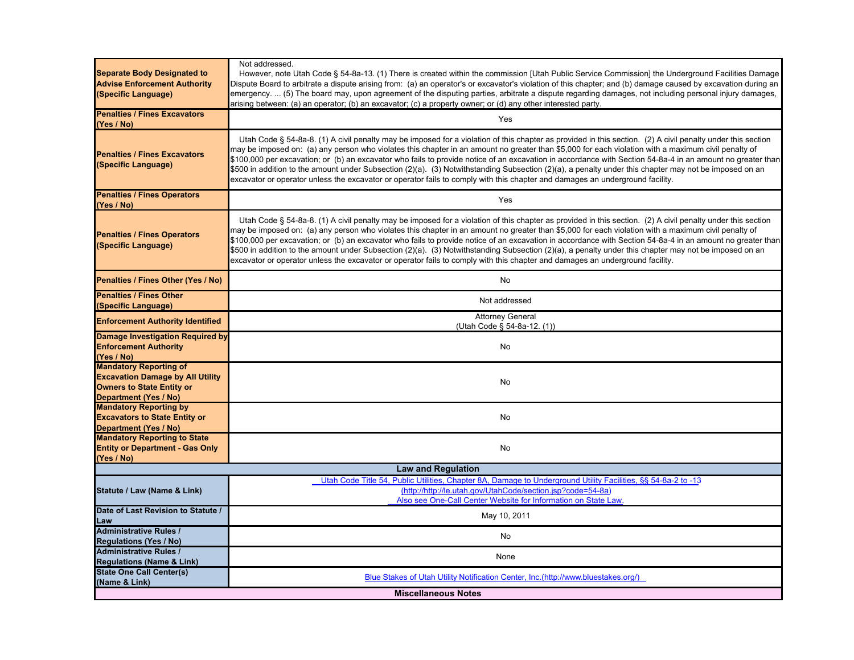| (Name & Link)                                                                                    | <b>Miscellaneous Notes</b>                                                                                                                                                                                                                                                                                                                                                                                                                                                                                                                                                                                                                                                                                                                                                 |
|--------------------------------------------------------------------------------------------------|----------------------------------------------------------------------------------------------------------------------------------------------------------------------------------------------------------------------------------------------------------------------------------------------------------------------------------------------------------------------------------------------------------------------------------------------------------------------------------------------------------------------------------------------------------------------------------------------------------------------------------------------------------------------------------------------------------------------------------------------------------------------------|
| <b>State One Call Center(s)</b>                                                                  | Blue Stakes of Utah Utility Notification Center, Inc.(http://www.bluestakes.org/)                                                                                                                                                                                                                                                                                                                                                                                                                                                                                                                                                                                                                                                                                          |
| <b>Regulations (Name &amp; Link)</b>                                                             | None                                                                                                                                                                                                                                                                                                                                                                                                                                                                                                                                                                                                                                                                                                                                                                       |
| <b>Regulations (Yes / No)</b><br><b>Administrative Rules /</b>                                   |                                                                                                                                                                                                                                                                                                                                                                                                                                                                                                                                                                                                                                                                                                                                                                            |
| <b>Administrative Rules /</b>                                                                    | No                                                                                                                                                                                                                                                                                                                                                                                                                                                                                                                                                                                                                                                                                                                                                                         |
| Law                                                                                              | May 10, 2011                                                                                                                                                                                                                                                                                                                                                                                                                                                                                                                                                                                                                                                                                                                                                               |
| Date of Last Revision to Statute /                                                               |                                                                                                                                                                                                                                                                                                                                                                                                                                                                                                                                                                                                                                                                                                                                                                            |
| Statute / Law (Name & Link)                                                                      | Utah Code Title 54, Public Utilities, Chapter 8A, Damage to Underground Utility Facilities, §§ 54-8a-2 to -13<br>(http://http://le.utah.gov/UtahCode/section.jsp?code=54-8a)<br>Also see One-Call Center Website for Information on State Law.                                                                                                                                                                                                                                                                                                                                                                                                                                                                                                                             |
|                                                                                                  | <b>Law and Regulation</b>                                                                                                                                                                                                                                                                                                                                                                                                                                                                                                                                                                                                                                                                                                                                                  |
| (Yes / No)                                                                                       |                                                                                                                                                                                                                                                                                                                                                                                                                                                                                                                                                                                                                                                                                                                                                                            |
| <b>Entity or Department - Gas Only</b>                                                           | No                                                                                                                                                                                                                                                                                                                                                                                                                                                                                                                                                                                                                                                                                                                                                                         |
| <b>Department (Yes / No)</b><br><b>Mandatory Reporting to State</b>                              |                                                                                                                                                                                                                                                                                                                                                                                                                                                                                                                                                                                                                                                                                                                                                                            |
| <b>Excavators to State Entity or</b>                                                             | No                                                                                                                                                                                                                                                                                                                                                                                                                                                                                                                                                                                                                                                                                                                                                                         |
| <b>Mandatory Reporting by</b>                                                                    |                                                                                                                                                                                                                                                                                                                                                                                                                                                                                                                                                                                                                                                                                                                                                                            |
| Department (Yes / No)                                                                            |                                                                                                                                                                                                                                                                                                                                                                                                                                                                                                                                                                                                                                                                                                                                                                            |
| <b>Owners to State Entity or</b>                                                                 | No                                                                                                                                                                                                                                                                                                                                                                                                                                                                                                                                                                                                                                                                                                                                                                         |
| <b>Excavation Damage by All Utility</b>                                                          |                                                                                                                                                                                                                                                                                                                                                                                                                                                                                                                                                                                                                                                                                                                                                                            |
| (Yes / No)<br><b>Mandatory Reporting of</b>                                                      |                                                                                                                                                                                                                                                                                                                                                                                                                                                                                                                                                                                                                                                                                                                                                                            |
| <b>Enforcement Authority</b>                                                                     | No                                                                                                                                                                                                                                                                                                                                                                                                                                                                                                                                                                                                                                                                                                                                                                         |
| <b>Damage Investigation Required by</b>                                                          |                                                                                                                                                                                                                                                                                                                                                                                                                                                                                                                                                                                                                                                                                                                                                                            |
| <b>Enforcement Authority Identified</b>                                                          | (Utah Code § 54-8a-12. (1))                                                                                                                                                                                                                                                                                                                                                                                                                                                                                                                                                                                                                                                                                                                                                |
| (Specific Language)                                                                              | <b>Attorney General</b>                                                                                                                                                                                                                                                                                                                                                                                                                                                                                                                                                                                                                                                                                                                                                    |
| <b>Penalties / Fines Other</b>                                                                   | Not addressed                                                                                                                                                                                                                                                                                                                                                                                                                                                                                                                                                                                                                                                                                                                                                              |
| Penalties / Fines Other (Yes / No)                                                               | No                                                                                                                                                                                                                                                                                                                                                                                                                                                                                                                                                                                                                                                                                                                                                                         |
| <b>Penalties / Fines Operators</b><br>(Specific Language)                                        | Utah Code § 54-8a-8. (1) A civil penalty may be imposed for a violation of this chapter as provided in this section. (2) A civil penalty under this section<br>may be imposed on: (a) any person who violates this chapter in an amount no greater than \$5,000 for each violation with a maximum civil penalty of<br>\$100,000 per excavation; or (b) an excavator who fails to provide notice of an excavation in accordance with Section 54-8a-4 in an amount no greater than<br>\$500 in addition to the amount under Subsection (2)(a). (3) Notwithstanding Subsection (2)(a), a penalty under this chapter may not be imposed on an<br>excavator or operator unless the excavator or operator fails to comply with this chapter and damages an underground facility. |
| <b>Penalties / Fines Operators</b><br>(Yes / No)                                                 | Yes                                                                                                                                                                                                                                                                                                                                                                                                                                                                                                                                                                                                                                                                                                                                                                        |
| <b>Penalties / Fines Excavators</b><br>(Specific Language)                                       | Utah Code § 54-8a-8. (1) A civil penalty may be imposed for a violation of this chapter as provided in this section. (2) A civil penalty under this section<br>may be imposed on: (a) any person who violates this chapter in an amount no greater than \$5,000 for each violation with a maximum civil penalty of<br>\$100,000 per excavation; or (b) an excavator who fails to provide notice of an excavation in accordance with Section 54-8a-4 in an amount no greater than<br>\$500 in addition to the amount under Subsection (2)(a). (3) Notwithstanding Subsection (2)(a), a penalty under this chapter may not be imposed on an<br>excavator or operator unless the excavator or operator fails to comply with this chapter and damages an underground facility. |
| <b>Penalties / Fines Excavators</b><br>(Yes / No)                                                | Yes                                                                                                                                                                                                                                                                                                                                                                                                                                                                                                                                                                                                                                                                                                                                                                        |
| <b>Separate Body Designated to</b><br><b>Advise Enforcement Authority</b><br>(Specific Language) | However, note Utah Code § 54-8a-13. (1) There is created within the commission [Utah Public Service Commission] the Underground Facilities Damage<br>Dispute Board to arbitrate a dispute arising from: (a) an operator's or excavator's violation of this chapter; and (b) damage caused by excavation during an<br>emergency.  (5) The board may, upon agreement of the disputing parties, arbitrate a dispute regarding damages, not including personal injury damages,<br>arising between: (a) an operator; (b) an excavator; (c) a property owner; or (d) any other interested party.                                                                                                                                                                                 |
|                                                                                                  | Not addressed.                                                                                                                                                                                                                                                                                                                                                                                                                                                                                                                                                                                                                                                                                                                                                             |